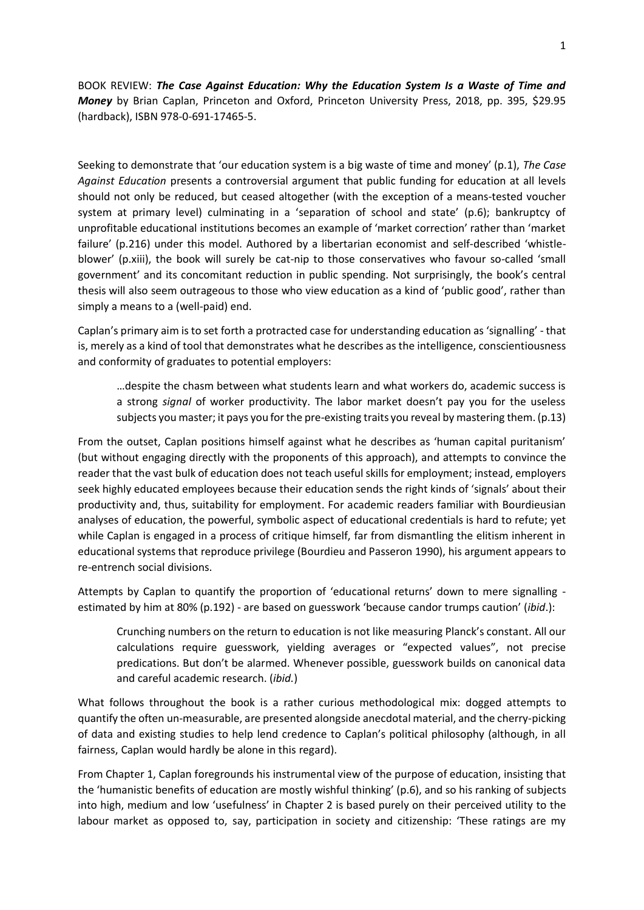BOOK REVIEW: *The Case Against Education: Why the Education System Is a Waste of Time and Money* by Brian Caplan, Princeton and Oxford, Princeton University Press, 2018, pp. 395, \$29.95 (hardback), ISBN 978-0-691-17465-5.

Seeking to demonstrate that 'our education system is a big waste of time and money' (p.1), *The Case Against Education* presents a controversial argument that public funding for education at all levels should not only be reduced, but ceased altogether (with the exception of a means-tested voucher system at primary level) culminating in a 'separation of school and state' (p.6); bankruptcy of unprofitable educational institutions becomes an example of 'market correction' rather than 'market failure' (p.216) under this model. Authored by a libertarian economist and self-described 'whistleblower' (p.xiii), the book will surely be cat-nip to those conservatives who favour so-called 'small government' and its concomitant reduction in public spending. Not surprisingly, the book's central thesis will also seem outrageous to those who view education as a kind of 'public good', rather than simply a means to a (well-paid) end.

Caplan's primary aim is to set forth a protracted case for understanding education as 'signalling' - that is, merely as a kind of tool that demonstrates what he describes as the intelligence, conscientiousness and conformity of graduates to potential employers:

…despite the chasm between what students learn and what workers do, academic success is a strong *signal* of worker productivity. The labor market doesn't pay you for the useless subjects you master; it pays you for the pre-existing traits you reveal by mastering them. (p.13)

From the outset, Caplan positions himself against what he describes as 'human capital puritanism' (but without engaging directly with the proponents of this approach), and attempts to convince the reader that the vast bulk of education does not teach useful skills for employment; instead, employers seek highly educated employees because their education sends the right kinds of 'signals' about their productivity and, thus, suitability for employment. For academic readers familiar with Bourdieusian analyses of education, the powerful, symbolic aspect of educational credentials is hard to refute; yet while Caplan is engaged in a process of critique himself, far from dismantling the elitism inherent in educational systems that reproduce privilege (Bourdieu and Passeron 1990), his argument appears to re-entrench social divisions.

Attempts by Caplan to quantify the proportion of 'educational returns' down to mere signalling estimated by him at 80% (p.192) - are based on guesswork 'because candor trumps caution' (*ibid*.):

Crunching numbers on the return to education is not like measuring Planck's constant. All our calculations require guesswork, yielding averages or "expected values", not precise predications. But don't be alarmed. Whenever possible, guesswork builds on canonical data and careful academic research. (*ibid.*)

What follows throughout the book is a rather curious methodological mix: dogged attempts to quantify the often un-measurable, are presented alongside anecdotal material, and the cherry-picking of data and existing studies to help lend credence to Caplan's political philosophy (although, in all fairness, Caplan would hardly be alone in this regard).

From Chapter 1, Caplan foregrounds his instrumental view of the purpose of education, insisting that the 'humanistic benefits of education are mostly wishful thinking' (p.6), and so his ranking of subjects into high, medium and low 'usefulness' in Chapter 2 is based purely on their perceived utility to the labour market as opposed to, say, participation in society and citizenship: 'These ratings are my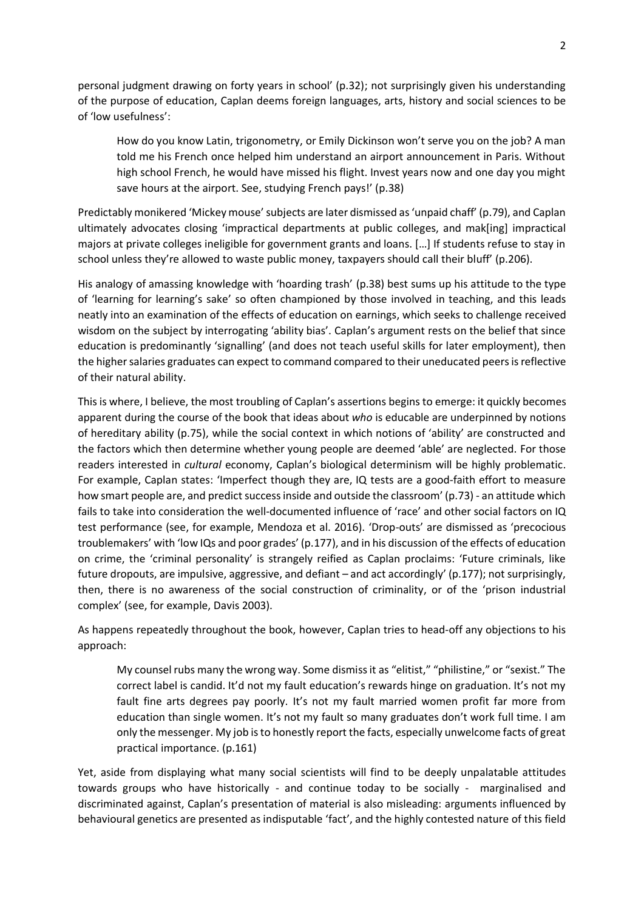personal judgment drawing on forty years in school' (p.32); not surprisingly given his understanding of the purpose of education, Caplan deems foreign languages, arts, history and social sciences to be of 'low usefulness':

How do you know Latin, trigonometry, or Emily Dickinson won't serve you on the job? A man told me his French once helped him understand an airport announcement in Paris. Without high school French, he would have missed his flight. Invest years now and one day you might save hours at the airport. See, studying French pays!' (p.38)

Predictably monikered 'Mickey mouse' subjects are later dismissed as 'unpaid chaff' (p.79), and Caplan ultimately advocates closing 'impractical departments at public colleges, and mak[ing] impractical majors at private colleges ineligible for government grants and loans. […] If students refuse to stay in school unless they're allowed to waste public money, taxpayers should call their bluff' (p.206).

His analogy of amassing knowledge with 'hoarding trash' (p.38) best sums up his attitude to the type of 'learning for learning's sake' so often championed by those involved in teaching, and this leads neatly into an examination of the effects of education on earnings, which seeks to challenge received wisdom on the subject by interrogating 'ability bias'. Caplan's argument rests on the belief that since education is predominantly 'signalling' (and does not teach useful skills for later employment), then the higher salaries graduates can expect to command compared to their uneducated peers is reflective of their natural ability.

This is where, I believe, the most troubling of Caplan's assertions begins to emerge: it quickly becomes apparent during the course of the book that ideas about *who* is educable are underpinned by notions of hereditary ability (p.75), while the social context in which notions of 'ability' are constructed and the factors which then determine whether young people are deemed 'able' are neglected. For those readers interested in *cultural* economy, Caplan's biological determinism will be highly problematic. For example, Caplan states: 'Imperfect though they are, IQ tests are a good-faith effort to measure how smart people are, and predict success inside and outside the classroom' (p.73) - an attitude which fails to take into consideration the well-documented influence of 'race' and other social factors on IQ test performance (see, for example, Mendoza et al. 2016). 'Drop-outs' are dismissed as 'precocious troublemakers' with 'low IQs and poor grades' (p.177), and in his discussion of the effects of education on crime, the 'criminal personality' is strangely reified as Caplan proclaims: 'Future criminals, like future dropouts, are impulsive, aggressive, and defiant – and act accordingly' (p.177); not surprisingly, then, there is no awareness of the social construction of criminality, or of the 'prison industrial complex' (see, for example, Davis 2003).

As happens repeatedly throughout the book, however, Caplan tries to head-off any objections to his approach:

My counsel rubs many the wrong way. Some dismiss it as "elitist," "philistine," or "sexist." The correct label is candid. It'd not my fault education's rewards hinge on graduation. It's not my fault fine arts degrees pay poorly. It's not my fault married women profit far more from education than single women. It's not my fault so many graduates don't work full time. I am only the messenger. My job is to honestly report the facts, especially unwelcome facts of great practical importance. (p.161)

Yet, aside from displaying what many social scientists will find to be deeply unpalatable attitudes towards groups who have historically - and continue today to be socially - marginalised and discriminated against, Caplan's presentation of material is also misleading: arguments influenced by behavioural genetics are presented as indisputable 'fact', and the highly contested nature of this field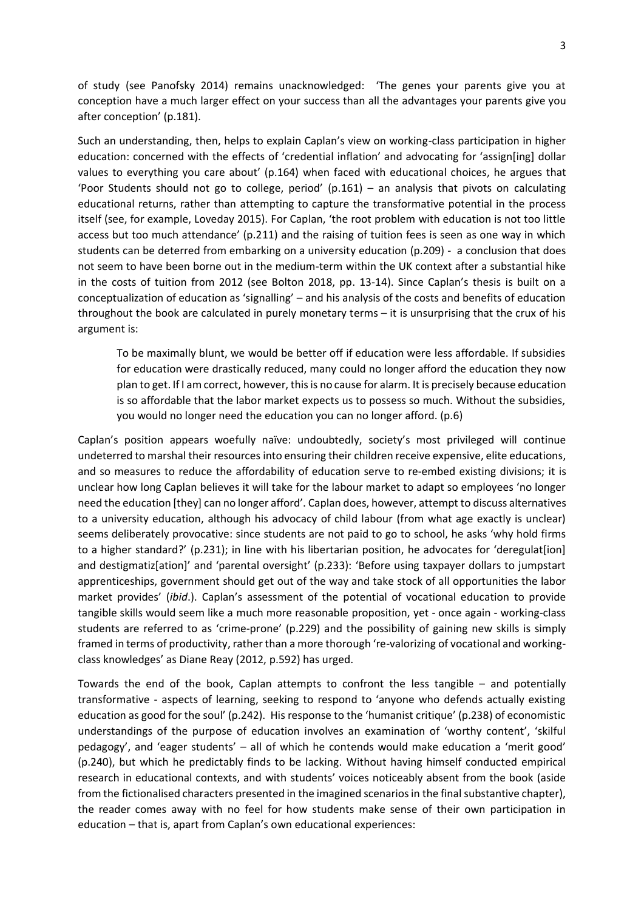of study (see Panofsky 2014) remains unacknowledged: 'The genes your parents give you at conception have a much larger effect on your success than all the advantages your parents give you after conception' (p.181).

Such an understanding, then, helps to explain Caplan's view on working-class participation in higher education: concerned with the effects of 'credential inflation' and advocating for 'assign[ing] dollar values to everything you care about' (p.164) when faced with educational choices, he argues that 'Poor Students should not go to college, period'  $(p.161)$  – an analysis that pivots on calculating educational returns, rather than attempting to capture the transformative potential in the process itself (see, for example, Loveday 2015). For Caplan, 'the root problem with education is not too little access but too much attendance' (p.211) and the raising of tuition fees is seen as one way in which students can be deterred from embarking on a university education (p.209) - a conclusion that does not seem to have been borne out in the medium-term within the UK context after a substantial hike in the costs of tuition from 2012 (see Bolton 2018, pp. 13-14). Since Caplan's thesis is built on a conceptualization of education as 'signalling' – and his analysis of the costs and benefits of education throughout the book are calculated in purely monetary terms – it is unsurprising that the crux of his argument is:

To be maximally blunt, we would be better off if education were less affordable. If subsidies for education were drastically reduced, many could no longer afford the education they now plan to get. If I am correct, however, this is no cause for alarm. It is precisely because education is so affordable that the labor market expects us to possess so much. Without the subsidies, you would no longer need the education you can no longer afford. (p.6)

Caplan's position appears woefully naïve: undoubtedly, society's most privileged will continue undeterred to marshal their resources into ensuring their children receive expensive, elite educations, and so measures to reduce the affordability of education serve to re-embed existing divisions; it is unclear how long Caplan believes it will take for the labour market to adapt so employees 'no longer need the education [they] can no longer afford'. Caplan does, however, attempt to discuss alternatives to a university education, although his advocacy of child labour (from what age exactly is unclear) seems deliberately provocative: since students are not paid to go to school, he asks 'why hold firms to a higher standard?' (p.231); in line with his libertarian position, he advocates for 'deregulat[ion] and destigmatiz[ation]' and 'parental oversight' (p.233): 'Before using taxpayer dollars to jumpstart apprenticeships, government should get out of the way and take stock of all opportunities the labor market provides' (*ibid*.). Caplan's assessment of the potential of vocational education to provide tangible skills would seem like a much more reasonable proposition, yet - once again - working-class students are referred to as 'crime-prone' (p.229) and the possibility of gaining new skills is simply framed in terms of productivity, rather than a more thorough 're-valorizing of vocational and workingclass knowledges' as Diane Reay (2012, p.592) has urged.

Towards the end of the book, Caplan attempts to confront the less tangible – and potentially transformative - aspects of learning, seeking to respond to 'anyone who defends actually existing education as good for the soul' (p.242). His response to the 'humanist critique' (p.238) of economistic understandings of the purpose of education involves an examination of 'worthy content', 'skilful pedagogy', and 'eager students' – all of which he contends would make education a 'merit good' (p.240), but which he predictably finds to be lacking. Without having himself conducted empirical research in educational contexts, and with students' voices noticeably absent from the book (aside from the fictionalised characters presented in the imagined scenarios in the final substantive chapter), the reader comes away with no feel for how students make sense of their own participation in education – that is, apart from Caplan's own educational experiences: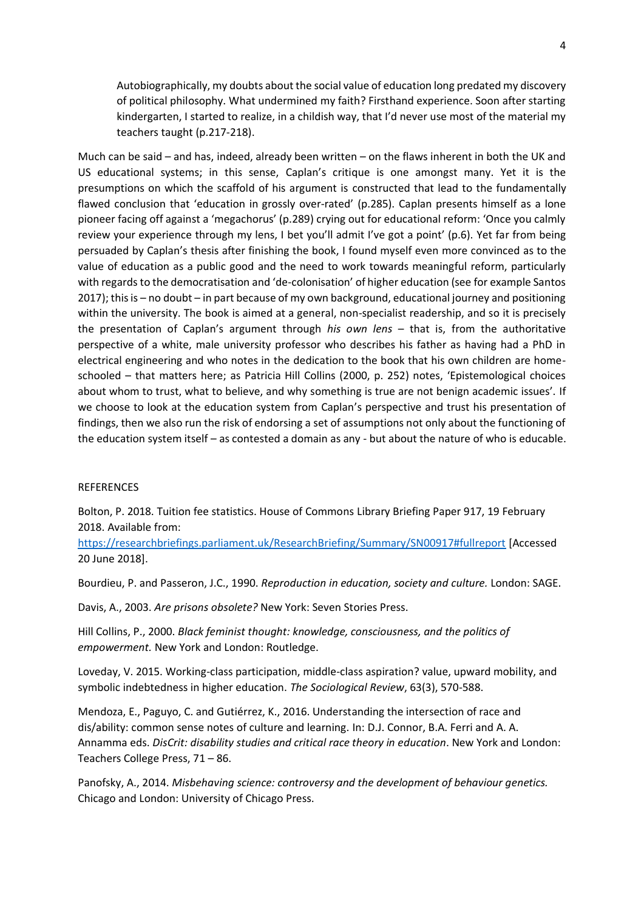Autobiographically, my doubts about the social value of education long predated my discovery of political philosophy. What undermined my faith? Firsthand experience. Soon after starting kindergarten, I started to realize, in a childish way, that I'd never use most of the material my teachers taught (p.217-218).

Much can be said – and has, indeed, already been written – on the flaws inherent in both the UK and US educational systems; in this sense, Caplan's critique is one amongst many. Yet it is the presumptions on which the scaffold of his argument is constructed that lead to the fundamentally flawed conclusion that 'education in grossly over-rated' (p.285). Caplan presents himself as a lone pioneer facing off against a 'megachorus' (p.289) crying out for educational reform: 'Once you calmly review your experience through my lens, I bet you'll admit I've got a point' (p.6). Yet far from being persuaded by Caplan's thesis after finishing the book, I found myself even more convinced as to the value of education as a public good and the need to work towards meaningful reform, particularly with regards to the democratisation and 'de-colonisation' of higher education (see for example Santos 2017); this is – no doubt – in part because of my own background, educational journey and positioning within the university. The book is aimed at a general, non-specialist readership, and so it is precisely the presentation of Caplan's argument through *his own lens* – that is, from the authoritative perspective of a white, male university professor who describes his father as having had a PhD in electrical engineering and who notes in the dedication to the book that his own children are homeschooled – that matters here; as Patricia Hill Collins (2000, p. 252) notes, 'Epistemological choices about whom to trust, what to believe, and why something is true are not benign academic issues'. If we choose to look at the education system from Caplan's perspective and trust his presentation of findings, then we also run the risk of endorsing a set of assumptions not only about the functioning of the education system itself – as contested a domain as any - but about the nature of who is educable.

## REFERENCES

Bolton, P. 2018. Tuition fee statistics. House of Commons Library Briefing Paper 917, 19 February 2018. Available from:

<https://researchbriefings.parliament.uk/ResearchBriefing/Summary/SN00917#fullreport> [Accessed 20 June 2018].

Bourdieu, P. and Passeron, J.C., 1990. *Reproduction in education, society and culture.* London: SAGE.

Davis, A., 2003. *Are prisons obsolete?* New York: Seven Stories Press.

Hill Collins, P., 2000. *Black feminist thought: knowledge, consciousness, and the politics of empowerment.* New York and London: Routledge.

Loveday, V. 2015. Working-class participation, middle-class aspiration? value, upward mobility, and symbolic indebtedness in higher education. *The Sociological Review*, 63(3), 570-588.

Mendoza, E., Paguyo, C. and Gutiérrez, K., 2016. Understanding the intersection of race and dis/ability: common sense notes of culture and learning. In: D.J. Connor, B.A. Ferri and A. A. Annamma eds. *DisCrit: disability studies and critical race theory in education*. New York and London: Teachers College Press, 71 – 86.

Panofsky, A., 2014. *Misbehaving science: controversy and the development of behaviour genetics.* Chicago and London: University of Chicago Press.